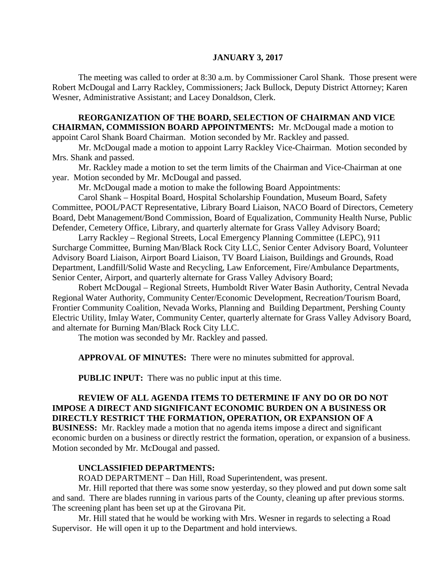#### **JANUARY 3, 2017**

The meeting was called to order at 8:30 a.m. by Commissioner Carol Shank. Those present were Robert McDougal and Larry Rackley, Commissioners; Jack Bullock, Deputy District Attorney; Karen Wesner, Administrative Assistant; and Lacey Donaldson, Clerk.

#### **REORGANIZATION OF THE BOARD, SELECTION OF CHAIRMAN AND VICE CHAIRMAN, COMMISSION BOARD APPOINTMENTS:** Mr. McDougal made a motion to appoint Carol Shank Board Chairman. Motion seconded by Mr. Rackley and passed.

Mr. McDougal made a motion to appoint Larry Rackley Vice-Chairman. Motion seconded by Mrs. Shank and passed.

Mr. Rackley made a motion to set the term limits of the Chairman and Vice-Chairman at one year. Motion seconded by Mr. McDougal and passed.

Mr. McDougal made a motion to make the following Board Appointments:

Carol Shank – Hospital Board, Hospital Scholarship Foundation, Museum Board, Safety Committee, POOL/PACT Representative, Library Board Liaison, NACO Board of Directors, Cemetery Board, Debt Management/Bond Commission, Board of Equalization, Community Health Nurse, Public Defender, Cemetery Office, Library, and quarterly alternate for Grass Valley Advisory Board;

Larry Rackley – Regional Streets, Local Emergency Planning Committee (LEPC), 911 Surcharge Committee, Burning Man/Black Rock City LLC, Senior Center Advisory Board, Volunteer Advisory Board Liaison, Airport Board Liaison, TV Board Liaison, Buildings and Grounds, Road Department, Landfill/Solid Waste and Recycling, Law Enforcement, Fire/Ambulance Departments, Senior Center, Airport, and quarterly alternate for Grass Valley Advisory Board;

Robert McDougal – Regional Streets, Humboldt River Water Basin Authority, Central Nevada Regional Water Authority, Community Center/Economic Development, Recreation/Tourism Board, Frontier Community Coalition, Nevada Works, Planning and Building Department, Pershing County Electric Utility, Imlay Water, Community Center, quarterly alternate for Grass Valley Advisory Board, and alternate for Burning Man/Black Rock City LLC.

The motion was seconded by Mr. Rackley and passed.

**APPROVAL OF MINUTES:** There were no minutes submitted for approval.

**PUBLIC INPUT:** There was no public input at this time.

### **REVIEW OF ALL AGENDA ITEMS TO DETERMINE IF ANY DO OR DO NOT IMPOSE A DIRECT AND SIGNIFICANT ECONOMIC BURDEN ON A BUSINESS OR DIRECTLY RESTRICT THE FORMATION, OPERATION, OR EXPANSION OF A**

**BUSINESS:** Mr. Rackley made a motion that no agenda items impose a direct and significant economic burden on a business or directly restrict the formation, operation, or expansion of a business. Motion seconded by Mr. McDougal and passed.

#### **UNCLASSIFIED DEPARTMENTS:**

ROAD DEPARTMENT – Dan Hill, Road Superintendent, was present.

Mr. Hill reported that there was some snow yesterday, so they plowed and put down some salt and sand. There are blades running in various parts of the County, cleaning up after previous storms. The screening plant has been set up at the Girovana Pit.

Mr. Hill stated that he would be working with Mrs. Wesner in regards to selecting a Road Supervisor. He will open it up to the Department and hold interviews.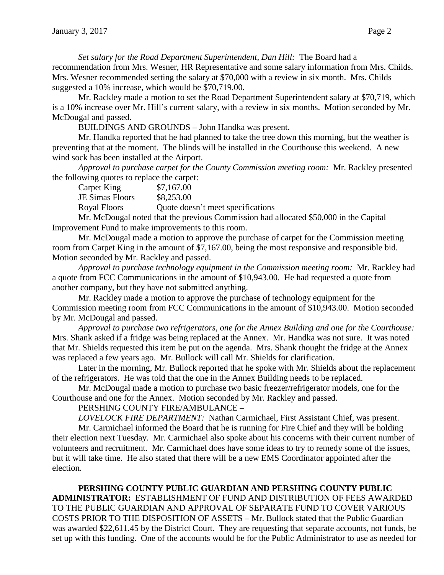*Set salary for the Road Department Superintendent, Dan Hill:* The Board had a recommendation from Mrs. Wesner, HR Representative and some salary information from Mrs. Childs. Mrs. Wesner recommended setting the salary at \$70,000 with a review in six month. Mrs. Childs suggested a 10% increase, which would be \$70,719.00.

Mr. Rackley made a motion to set the Road Department Superintendent salary at \$70,719, which is a 10% increase over Mr. Hill's current salary, with a review in six months. Motion seconded by Mr. McDougal and passed.

BUILDINGS AND GROUNDS – John Handka was present.

Mr. Handka reported that he had planned to take the tree down this morning, but the weather is preventing that at the moment. The blinds will be installed in the Courthouse this weekend. A new wind sock has been installed at the Airport.

*Approval to purchase carpet for the County Commission meeting room:* Mr. Rackley presented the following quotes to replace the carpet:

| Carpet King     | \$7,167.00                        |
|-----------------|-----------------------------------|
| JE Simas Floors | \$8,253.00                        |
| Royal Floors    | Quote doesn't meet specifications |

Mr. McDougal noted that the previous Commission had allocated \$50,000 in the Capital Improvement Fund to make improvements to this room.

Mr. McDougal made a motion to approve the purchase of carpet for the Commission meeting room from Carpet King in the amount of \$7,167.00, being the most responsive and responsible bid. Motion seconded by Mr. Rackley and passed.

*Approval to purchase technology equipment in the Commission meeting room:* Mr. Rackley had a quote from FCC Communications in the amount of \$10,943.00. He had requested a quote from another company, but they have not submitted anything.

Mr. Rackley made a motion to approve the purchase of technology equipment for the Commission meeting room from FCC Communications in the amount of \$10,943.00. Motion seconded by Mr. McDougal and passed.

*Approval to purchase two refrigerators, one for the Annex Building and one for the Courthouse:*  Mrs. Shank asked if a fridge was being replaced at the Annex. Mr. Handka was not sure. It was noted that Mr. Shields requested this item be put on the agenda. Mrs. Shank thought the fridge at the Annex was replaced a few years ago. Mr. Bullock will call Mr. Shields for clarification.

Later in the morning, Mr. Bullock reported that he spoke with Mr. Shields about the replacement of the refrigerators. He was told that the one in the Annex Building needs to be replaced.

Mr. McDougal made a motion to purchase two basic freezer/refrigerator models, one for the Courthouse and one for the Annex. Motion seconded by Mr. Rackley and passed.

PERSHING COUNTY FIRE/AMBULANCE –

*LOVELOCK FIRE DEPARTMENT:* Nathan Carmichael, First Assistant Chief, was present.

Mr. Carmichael informed the Board that he is running for Fire Chief and they will be holding their election next Tuesday. Mr. Carmichael also spoke about his concerns with their current number of volunteers and recruitment. Mr. Carmichael does have some ideas to try to remedy some of the issues, but it will take time. He also stated that there will be a new EMS Coordinator appointed after the election.

**PERSHING COUNTY PUBLIC GUARDIAN AND PERSHING COUNTY PUBLIC ADMINISTRATOR:** ESTABLISHMENT OF FUND AND DISTRIBUTION OF FEES AWARDED TO THE PUBLIC GUARDIAN AND APPROVAL OF SEPARATE FUND TO COVER VARIOUS COSTS PRIOR TO THE DISPOSITION OF ASSETS – Mr. Bullock stated that the Public Guardian was awarded \$22,611.45 by the District Court. They are requesting that separate accounts, not funds, be set up with this funding. One of the accounts would be for the Public Administrator to use as needed for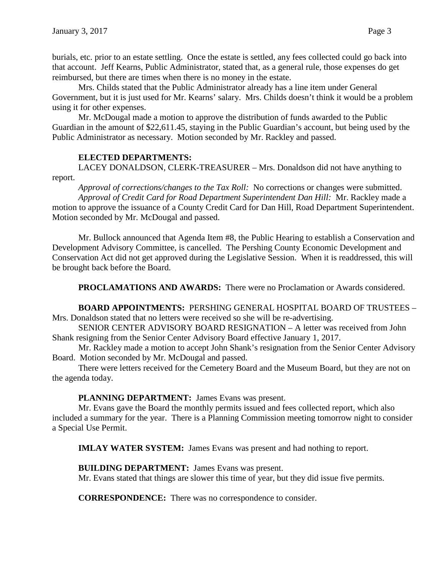burials, etc. prior to an estate settling. Once the estate is settled, any fees collected could go back into that account. Jeff Kearns, Public Administrator, stated that, as a general rule, those expenses do get reimbursed, but there are times when there is no money in the estate.

Mrs. Childs stated that the Public Administrator already has a line item under General Government, but it is just used for Mr. Kearns' salary. Mrs. Childs doesn't think it would be a problem using it for other expenses.

Mr. McDougal made a motion to approve the distribution of funds awarded to the Public Guardian in the amount of \$22,611.45, staying in the Public Guardian's account, but being used by the Public Administrator as necessary. Motion seconded by Mr. Rackley and passed.

# **ELECTED DEPARTMENTS:**

LACEY DONALDSON, CLERK-TREASURER – Mrs. Donaldson did not have anything to report.

*Approval of corrections/changes to the Tax Roll:* No corrections or changes were submitted. *Approval of Credit Card for Road Department Superintendent Dan Hill:* Mr. Rackley made a motion to approve the issuance of a County Credit Card for Dan Hill, Road Department Superintendent. Motion seconded by Mr. McDougal and passed.

Mr. Bullock announced that Agenda Item #8, the Public Hearing to establish a Conservation and Development Advisory Committee, is cancelled. The Pershing County Economic Development and Conservation Act did not get approved during the Legislative Session. When it is readdressed, this will be brought back before the Board.

**PROCLAMATIONS AND AWARDS:** There were no Proclamation or Awards considered.

**BOARD APPOINTMENTS:** PERSHING GENERAL HOSPITAL BOARD OF TRUSTEES – Mrs. Donaldson stated that no letters were received so she will be re-advertising.

SENIOR CENTER ADVISORY BOARD RESIGNATION – A letter was received from John Shank resigning from the Senior Center Advisory Board effective January 1, 2017.

Mr. Rackley made a motion to accept John Shank's resignation from the Senior Center Advisory Board. Motion seconded by Mr. McDougal and passed.

There were letters received for the Cemetery Board and the Museum Board, but they are not on the agenda today.

**PLANNING DEPARTMENT:** James Evans was present.

Mr. Evans gave the Board the monthly permits issued and fees collected report, which also included a summary for the year. There is a Planning Commission meeting tomorrow night to consider a Special Use Permit.

**IMLAY WATER SYSTEM:** James Evans was present and had nothing to report.

**BUILDING DEPARTMENT:** James Evans was present.

Mr. Evans stated that things are slower this time of year, but they did issue five permits.

**CORRESPONDENCE:** There was no correspondence to consider.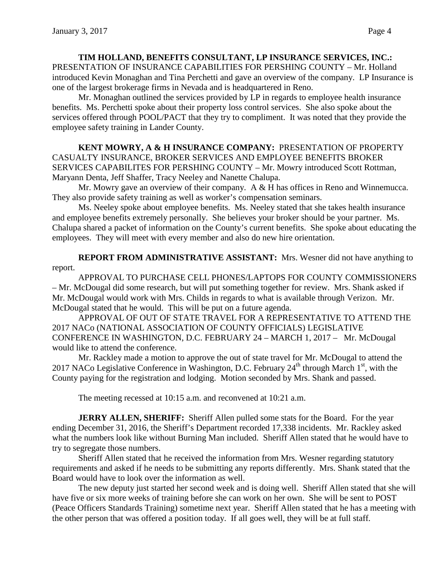**TIM HOLLAND, BENEFITS CONSULTANT, LP INSURANCE SERVICES, INC.:**  PRESENTATION OF INSURANCE CAPABILITIES FOR PERSHING COUNTY – Mr. Holland introduced Kevin Monaghan and Tina Perchetti and gave an overview of the company. LP Insurance is one of the largest brokerage firms in Nevada and is headquartered in Reno.

Mr. Monaghan outlined the services provided by LP in regards to employee health insurance benefits. Ms. Perchetti spoke about their property loss control services. She also spoke about the services offered through POOL/PACT that they try to compliment. It was noted that they provide the employee safety training in Lander County.

## **KENT MOWRY, A & H INSURANCE COMPANY:** PRESENTATION OF PROPERTY CASUALTY INSURANCE, BROKER SERVICES AND EMPLOYEE BENEFITS BROKER SERVICES CAPABILITES FOR PERSHING COUNTY – Mr. Mowry introduced Scott Rottman, Maryann Denta, Jeff Shaffer, Tracy Neeley and Nanette Chalupa.

Mr. Mowry gave an overview of their company. A & H has offices in Reno and Winnemucca. They also provide safety training as well as worker's compensation seminars.

Ms. Neeley spoke about employee benefits. Ms. Neeley stated that she takes health insurance and employee benefits extremely personally. She believes your broker should be your partner. Ms. Chalupa shared a packet of information on the County's current benefits. She spoke about educating the employees. They will meet with every member and also do new hire orientation.

**REPORT FROM ADMINISTRATIVE ASSISTANT:** Mrs. Wesner did not have anything to report.

APPROVAL TO PURCHASE CELL PHONES/LAPTOPS FOR COUNTY COMMISSIONERS – Mr. McDougal did some research, but will put something together for review. Mrs. Shank asked if Mr. McDougal would work with Mrs. Childs in regards to what is available through Verizon. Mr. McDougal stated that he would. This will be put on a future agenda.

APPROVAL OF OUT OF STATE TRAVEL FOR A REPRESENTATIVE TO ATTEND THE 2017 NACo (NATIONAL ASSOCIATION OF COUNTY OFFICIALS) LEGISLATIVE CONFERENCE IN WASHINGTON, D.C. FEBRUARY 24 – MARCH 1, 2017 – Mr. McDougal would like to attend the conference.

Mr. Rackley made a motion to approve the out of state travel for Mr. McDougal to attend the 2017 NACo Legislative Conference in Washington, D.C. February  $24<sup>th</sup>$  through March  $1<sup>st</sup>$ , with the County paying for the registration and lodging. Motion seconded by Mrs. Shank and passed.

The meeting recessed at 10:15 a.m. and reconvened at 10:21 a.m.

**JERRY ALLEN, SHERIFF:** Sheriff Allen pulled some stats for the Board. For the year ending December 31, 2016, the Sheriff's Department recorded 17,338 incidents. Mr. Rackley asked what the numbers look like without Burning Man included. Sheriff Allen stated that he would have to try to segregate those numbers.

Sheriff Allen stated that he received the information from Mrs. Wesner regarding statutory requirements and asked if he needs to be submitting any reports differently. Mrs. Shank stated that the Board would have to look over the information as well.

The new deputy just started her second week and is doing well. Sheriff Allen stated that she will have five or six more weeks of training before she can work on her own. She will be sent to POST (Peace Officers Standards Training) sometime next year. Sheriff Allen stated that he has a meeting with the other person that was offered a position today. If all goes well, they will be at full staff.